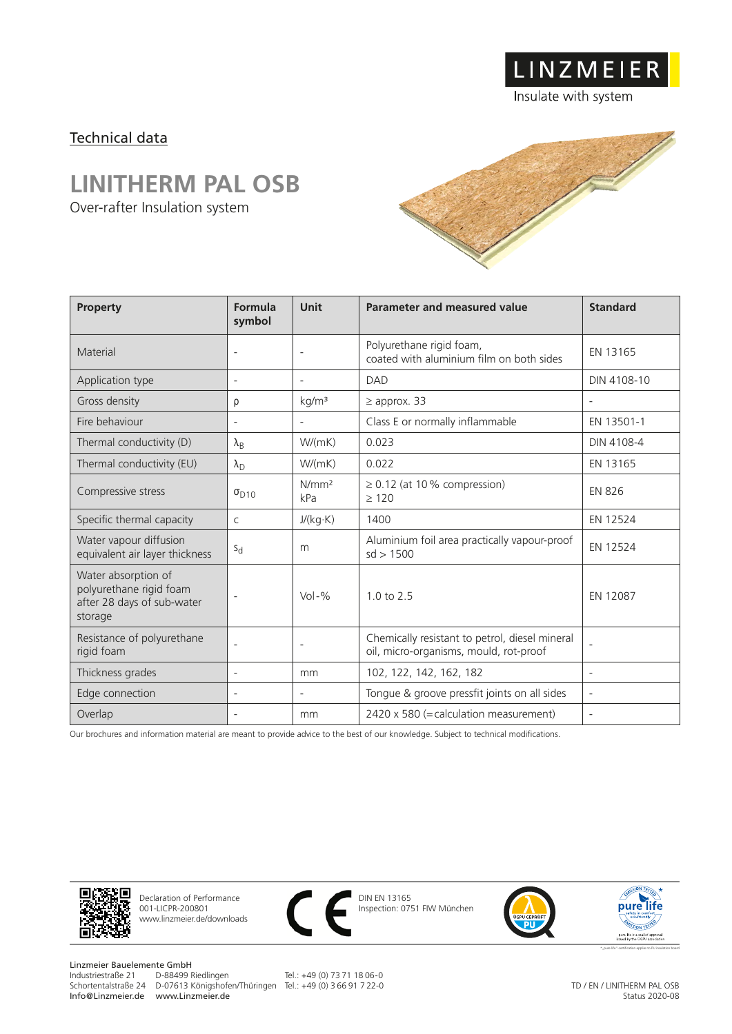## Technical data

## **LINITHERM PAL OSB**

Over-rafter Insulation system



LINZMEIER

Insulate with system

| <b>Property</b>                                                                         | Formula<br>symbol        | <b>Unit</b>              | Parameter and measured value                                                             | <b>Standard</b>          |
|-----------------------------------------------------------------------------------------|--------------------------|--------------------------|------------------------------------------------------------------------------------------|--------------------------|
| Material                                                                                | $\overline{\phantom{a}}$ | $\overline{\phantom{0}}$ | Polyurethane rigid foam,<br>coated with aluminium film on both sides                     | EN 13165                 |
| Application type                                                                        | $\overline{\phantom{a}}$ | $\overline{\phantom{a}}$ | <b>DAD</b>                                                                               | DIN 4108-10              |
| Gross density                                                                           | ρ                        | kg/m <sup>3</sup>        | $\geq$ approx. 33                                                                        |                          |
| Fire behaviour                                                                          |                          | $\overline{\phantom{a}}$ | Class E or normally inflammable                                                          | EN 13501-1               |
| Thermal conductivity (D)                                                                | $\lambda_{\mathsf{B}}$   | W/(mK)                   | 0.023                                                                                    | DIN 4108-4               |
| Thermal conductivity (EU)                                                               | $\lambda_{\rm D}$        | W/(mK)                   | 0.022                                                                                    | EN 13165                 |
| Compressive stress                                                                      | $\sigma_{D10}$           | N/mm <sup>2</sup><br>kPa | $\geq$ 0.12 (at 10% compression)<br>$\geq 120$                                           | <b>EN 826</b>            |
| Specific thermal capacity                                                               | $\mathsf{C}$             | J/(kg·K)                 | 1400                                                                                     | EN 12524                 |
| Water vapour diffusion<br>equivalent air layer thickness                                | $S_{d}$                  | m                        | Aluminium foil area practically vapour-proof<br>sd > 1500                                | EN 12524                 |
| Water absorption of<br>polyurethane rigid foam<br>after 28 days of sub-water<br>storage |                          | $Vol - %$                | $1.0 \text{ to } 2.5$                                                                    | EN 12087                 |
| Resistance of polyurethane<br>rigid foam                                                | $\overline{\phantom{a}}$ | $\overline{\phantom{a}}$ | Chemically resistant to petrol, diesel mineral<br>oil, micro-organisms, mould, rot-proof | $\overline{\phantom{a}}$ |
| Thickness grades                                                                        | $\overline{\phantom{a}}$ | mm                       | 102, 122, 142, 162, 182                                                                  | $\overline{\phantom{a}}$ |
| Edge connection                                                                         |                          | $\overline{\phantom{a}}$ | Tongue & groove pressfit joints on all sides                                             | $\overline{\phantom{a}}$ |
| Overlap                                                                                 |                          | mm                       | 2420 x 580 (= calculation measurement)                                                   | $\overline{\phantom{a}}$ |

Our brochures and information material are meant to provide advice to the best of our knowledge. Subject to technical modifications.



Declaration of Performance 001-LICPR-200801 www.linzmeier.de/downloads



DIN EN 13165 Inspection: 0751 FIW München





Linzmeier Bauelemente GmbH<br>Industriestraße 21 D-88499 Riedlingen Schortentalstraße 24 D-07613 Königshofen/Thüringen Tel.: +49 (0) 3 66 91 7 22-0 Info@Linzmeier.de www.Linzmeier.de

Tel.: +49 (0) 73 71 18 06-0

TD / EN / LINITHERM PAL OSB Status 2020-08